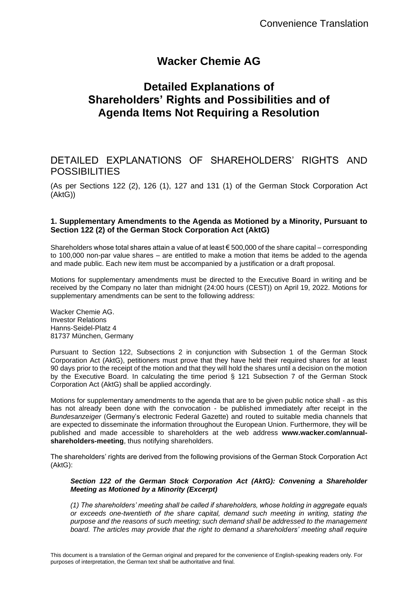# **Wacker Chemie AG**

# **Detailed Explanations of Shareholders' Rights and Possibilities and of Agenda Items Not Requiring a Resolution**

# DETAILED EXPLANATIONS OF SHAREHOLDERS' RIGHTS AND POSSIBILITIES

(As per Sections 122 (2), 126 (1), 127 and 131 (1) of the German Stock Corporation Act (AktG))

# **1. Supplementary Amendments to the Agenda as Motioned by a Minority, Pursuant to Section 122 (2) of the German Stock Corporation Act (AktG)**

Shareholders whose total shares attain a value of at least  $\epsilon$  500,000 of the share capital – corresponding to 100,000 non-par value shares – are entitled to make a motion that items be added to the agenda and made public. Each new item must be accompanied by a justification or a draft proposal.

Motions for supplementary amendments must be directed to the Executive Board in writing and be received by the Company no later than midnight (24:00 hours (CEST)) on April 19, 2022. Motions for supplementary amendments can be sent to the following address:

Wacker Chemie AG. Investor Relations Hanns-Seidel-Platz 4 81737 München, Germany

Pursuant to Section 122, Subsections 2 in conjunction with Subsection 1 of the German Stock Corporation Act (AktG), petitioners must prove that they have held their required shares for at least 90 days prior to the receipt of the motion and that they will hold the shares until a decision on the motion by the Executive Board. In calculating the time period § 121 Subsection 7 of the German Stock Corporation Act (AktG) shall be applied accordingly.

Motions for supplementary amendments to the agenda that are to be given public notice shall - as this has not already been done with the convocation - be published immediately after receipt in the *Bundesanzeiger* (Germany's electronic Federal Gazette) and routed to suitable media channels that are expected to disseminate the information throughout the European Union. Furthermore, they will be published and made accessible to shareholders at the web address **www.wacker.com/annualshareholders-meeting**, thus notifying shareholders.

The shareholders' rights are derived from the following provisions of the German Stock Corporation Act (AktG):

#### *Section 122 of the German Stock Corporation Act (AktG): Convening a Shareholder Meeting as Motioned by a Minority (Excerpt)*

*(1) The shareholders' meeting shall be called if shareholders, whose holding in aggregate equals or exceeds one-twentieth of the share capital, demand such meeting in writing, stating the purpose and the reasons of such meeting; such demand shall be addressed to the management board. The articles may provide that the right to demand a shareholders' meeting shall require*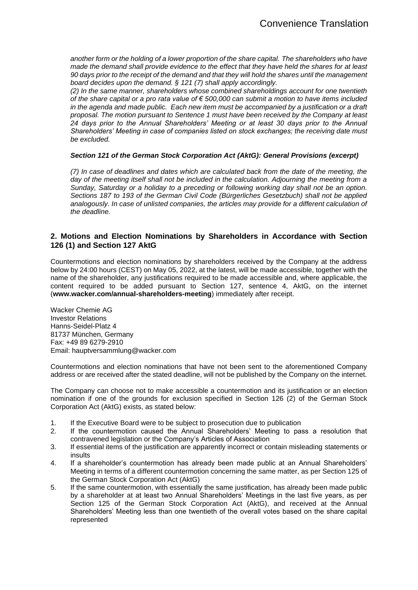*another form or the holding of a lower proportion of the share capital. The shareholders who have made the demand shall provide evidence to the effect that they have held the shares for at least 90 days prior to the receipt of the demand and that they will hold the shares until the management board decides upon the demand. § 121 (7) shall apply accordingly.*

*(2) In the same manner, shareholders whose combined shareholdings account for one twentieth of the share capital or a pro rata value of € 500,000 can submit a motion to have items included in the agenda and made public. Each new item must be accompanied by a justification or a draft proposal. The motion pursuant to Sentence 1 must have been received by the Company at least 24 days prior to the Annual Shareholders' Meeting or at least 30 days prior to the Annual Shareholders' Meeting in case of companies listed on stock exchanges; the receiving date must be excluded.*

#### *Section 121 of the German Stock Corporation Act (AktG): General Provisions (excerpt)*

*(7) In case of deadlines and dates which are calculated back from the date of the meeting, the*  day of the meeting itself shall not be included in the calculation. Adjourning the meeting from a *Sunday, Saturday or a holiday to a preceding or following working day shall not be an option. Sections 187 to 193 of the German Civil Code (Bürgerliches Gesetzbuch) shall not be applied analogously. In case of unlisted companies, the articles may provide for a different calculation of the deadline.*

## **2. Motions and Election Nominations by Shareholders in Accordance with Section 126 (1) and Section 127 AktG**

Countermotions and election nominations by shareholders received by the Company at the address below by 24:00 hours (CEST) on May 05, 2022, at the latest, will be made accessible, together with the name of the shareholder, any justifications required to be made accessible and, where applicable, the content required to be added pursuant to Section 127, sentence 4, AktG, on the internet (**www.wacker.com/annual-shareholders-meeting**) immediately after receipt.

Wacker Chemie AG Investor Relations Hanns-Seidel-Platz 4 81737 München, Germany Fax: +49 89 6279-2910 Email: hauptversammlung@wacker.com

Countermotions and election nominations that have not been sent to the aforementioned Company address or are received after the stated deadline, will not be published by the Company on the internet.

The Company can choose not to make accessible a countermotion and its justification or an election nomination if one of the grounds for exclusion specified in Section 126 (2) of the German Stock Corporation Act (AktG) exists, as stated below:

- 1. If the Executive Board were to be subject to prosecution due to publication
- 2. If the countermotion caused the Annual Shareholders' Meeting to pass a resolution that contravened legislation or the Company's Articles of Association
- 3. If essential items of the justification are apparently incorrect or contain misleading statements or insults
- 4. If a shareholder's countermotion has already been made public at an Annual Shareholders' Meeting in terms of a different countermotion concerning the same matter, as per Section 125 of the German Stock Corporation Act (AktG)
- 5. If the same countermotion, with essentially the same justification, has already been made public by a shareholder at at least two Annual Shareholders' Meetings in the last five years, as per Section 125 of the German Stock Corporation Act (AktG), and received at the Annual Shareholders' Meeting less than one twentieth of the overall votes based on the share capital represented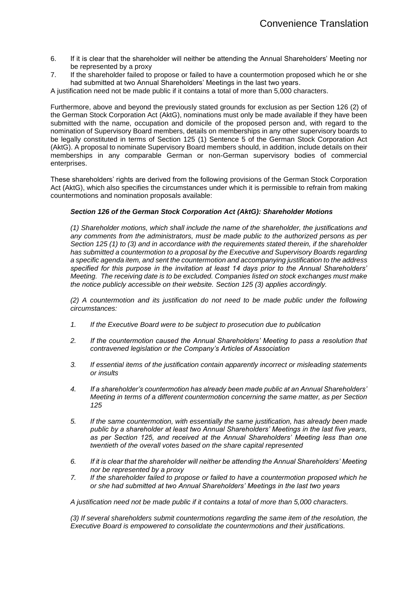- 6. If it is clear that the shareholder will neither be attending the Annual Shareholders' Meeting nor be represented by a proxy
- 7. If the shareholder failed to propose or failed to have a countermotion proposed which he or she had submitted at two Annual Shareholders' Meetings in the last two years.

A justification need not be made public if it contains a total of more than 5,000 characters.

Furthermore, above and beyond the previously stated grounds for exclusion as per Section 126 (2) of the German Stock Corporation Act (AktG), nominations must only be made available if they have been submitted with the name, occupation and domicile of the proposed person and, with regard to the nomination of Supervisory Board members, details on memberships in any other supervisory boards to be legally constituted in terms of Section 125 (1) Sentence 5 of the German Stock Corporation Act (AktG). A proposal to nominate Supervisory Board members should, in addition, include details on their memberships in any comparable German or non-German supervisory bodies of commercial enterprises.

These shareholders' rights are derived from the following provisions of the German Stock Corporation Act (AktG), which also specifies the circumstances under which it is permissible to refrain from making countermotions and nomination proposals available:

#### *Section 126 of the German Stock Corporation Act (AktG): Shareholder Motions*

*(1) Shareholder motions, which shall include the name of the shareholder, the justifications and any comments from the administrators, must be made public to the authorized persons as per Section 125 (1) to (3) and in accordance with the requirements stated therein, if the shareholder has submitted a countermotion to a proposal by the Executive and Supervisory Boards regarding a specific agenda item, and sent the countermotion and accompanying justification to the address specified for this purpose in the invitation at least 14 days prior to the Annual Shareholders' Meeting. The receiving date is to be excluded. Companies listed on stock exchanges must make the notice publicly accessible on their website. Section 125 (3) applies accordingly.*

*(2) A countermotion and its justification do not need to be made public under the following circumstances:*

- *1. If the Executive Board were to be subject to prosecution due to publication*
- *2. If the countermotion caused the Annual Shareholders' Meeting to pass a resolution that contravened legislation or the Company's Articles of Association*
- *3. If essential items of the justification contain apparently incorrect or misleading statements or insults*
- *4. If a shareholder's countermotion has already been made public at an Annual Shareholders' Meeting in terms of a different countermotion concerning the same matter, as per Section 125*
- *5. If the same countermotion, with essentially the same justification, has already been made public by a shareholder at least two Annual Shareholders' Meetings in the last five years, as per Section 125, and received at the Annual Shareholders' Meeting less than one twentieth of the overall votes based on the share capital represented*
- *6. If it is clear that the shareholder will neither be attending the Annual Shareholders' Meeting nor be represented by a proxy*
- *7. If the shareholder failed to propose or failed to have a countermotion proposed which he or she had submitted at two Annual Shareholders' Meetings in the last two years*

*A justification need not be made public if it contains a total of more than 5,000 characters.*

*(3) If several shareholders submit countermotions regarding the same item of the resolution, the Executive Board is empowered to consolidate the countermotions and their justifications.*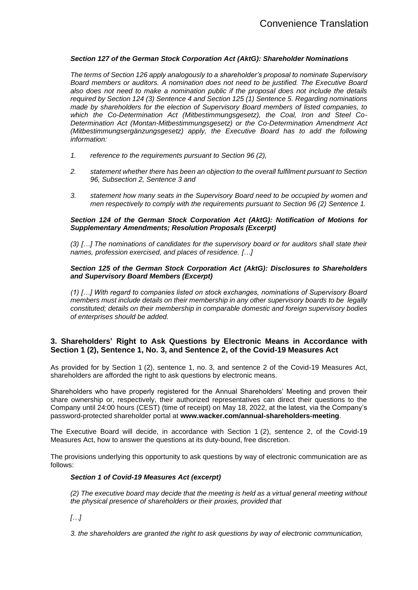#### *Section 127 of the German Stock Corporation Act (AktG): Shareholder Nominations*

*The terms of Section 126 apply analogously to a shareholder's proposal to nominate Supervisory Board members or auditors. A nomination does not need to be justified. The Executive Board also does not need to make a nomination public if the proposal does not include the details required by Section 124 (3) Sentence 4 and Section 125 (1) Sentence 5. Regarding nominations made by shareholders for the election of Supervisory Board members of listed companies, to which the Co-Determination Act (Mitbestimmungsgesetz), the Coal, Iron and Steel Co-Determination Act (Montan-Mitbestimmungsgesetz) or the Co-Determination Amendment Act (Mitbestimmungsergänzungsgesetz) apply, the Executive Board has to add the following information:* 

- *1. reference to the requirements pursuant to Section 96 (2),*
- *2. statement whether there has been an objection to the overall fulfilment pursuant to Section 96, Subsection 2, Sentence 3 and*
- *3. statement how many seats in the Supervisory Board need to be occupied by women and men respectively to comply with the requirements pursuant to Section 96 (2) Sentence 1.*

#### *Section 124 of the German Stock Corporation Act (AktG): Notification of Motions for Supplementary Amendments; Resolution Proposals (Excerpt)*

*(3) […] The nominations of candidates for the supervisory board or for auditors shall state their names, profession exercised, and places of residence. […]*

#### *Section 125 of the German Stock Corporation Act (AktG): Disclosures to Shareholders and Supervisory Board Members (Excerpt)*

*(1) […] With regard to companies listed on stock exchanges, nominations of Supervisory Board members must include details on their membership in any other supervisory boards to be legally constituted; details on their membership in comparable domestic and foreign supervisory bodies of enterprises should be added.*

# **3. Shareholders' Right to Ask Questions by Electronic Means in Accordance with Section 1 (2), Sentence 1, No. 3, and Sentence 2, of the Covid-19 Measures Act**

As provided for by Section 1 (2), sentence 1, no. 3, and sentence 2 of the Covid-19 Measures Act, shareholders are afforded the right to ask questions by electronic means.

Shareholders who have properly registered for the Annual Shareholders' Meeting and proven their share ownership or, respectively, their authorized representatives can direct their questions to the Company until 24:00 hours (CEST) (time of receipt) on May 18, 2022, at the latest, via the Company's password-protected shareholder portal at **www.wacker.com/annual-shareholders-meeting**.

The Executive Board will decide, in accordance with Section 1 (2), sentence 2, of the Covid-19 Measures Act, how to answer the questions at its duty-bound, free discretion.

The provisions underlying this opportunity to ask questions by way of electronic communication are as follows:

## *Section 1 of Covid-19 Measures Act (excerpt)*

*(2) The executive board may decide that the meeting is held as a virtual general meeting without the physical presence of shareholders or their proxies, provided that*

*[…]*

*3. the shareholders are granted the right to ask questions by way of electronic communication,*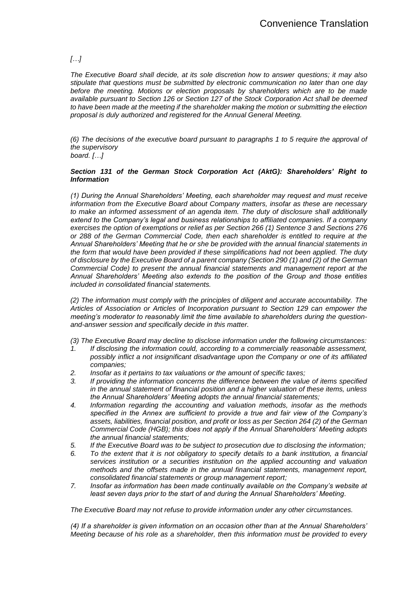# *[…]*

*The Executive Board shall decide, at its sole discretion how to answer questions; it may also stipulate that questions must be submitted by electronic communication no later than one day before the meeting. Motions or election proposals by shareholders which are to be made available pursuant to Section 126 or Section 127 of the Stock Corporation Act shall be deemed to have been made at the meeting if the shareholder making the motion or submitting the election proposal is duly authorized and registered for the Annual General Meeting.*

*(6) The decisions of the executive board pursuant to paragraphs 1 to 5 require the approval of the supervisory board. […]*

#### *Section 131 of the German Stock Corporation Act (AktG): Shareholders' Right to Information*

*(1) During the Annual Shareholders' Meeting, each shareholder may request and must receive information from the Executive Board about Company matters, insofar as these are necessary to make an informed assessment of an agenda item. The duty of disclosure shall additionally extend to the Company's legal and business relationships to affiliated companies. If a company exercises the option of exemptions or relief as per Section 266 (1) Sentence 3 and Sections 276 or 288 of the German Commercial Code, then each shareholder is entitled to require at the Annual Shareholders' Meeting that he or she be provided with the annual financial statements in the form that would have been provided if these simplifications had not been applied. The duty of disclosure by the Executive Board of a parent company (Section 290 (1) and (2) of the German Commercial Code) to present the annual financial statements and management report at the Annual Shareholders' Meeting also extends to the position of the Group and those entities included in consolidated financial statements.*

*(2) The information must comply with the principles of diligent and accurate accountability. The Articles of Association or Articles of Incorporation pursuant to Section 129 can empower the meeting's moderator to reasonably limit the time available to shareholders during the questionand-answer session and specifically decide in this matter.*

*(3) The Executive Board may decline to disclose information under the following circumstances:*

- *1. If disclosing the information could, according to a commercially reasonable assessment, possibly inflict a not insignificant disadvantage upon the Company or one of its affiliated companies;*
- *2. Insofar as it pertains to tax valuations or the amount of specific taxes;*
- *3. If providing the information concerns the difference between the value of items specified in the annual statement of financial position and a higher valuation of these items, unless the Annual Shareholders' Meeting adopts the annual financial statements;*
- *4. Information regarding the accounting and valuation methods, insofar as the methods specified in the Annex are sufficient to provide a true and fair view of the Company's assets, liabilities, financial position, and profit or loss as per Section 264 (2) of the German Commercial Code (HGB); this does not apply if the Annual Shareholders' Meeting adopts the annual financial statements;*
- *5. If the Executive Board was to be subject to prosecution due to disclosing the information;*
- *6. To the extent that it is not obligatory to specify details to a bank institution, a financial services institution or a securities institution on the applied accounting and valuation methods and the offsets made in the annual financial statements, management report, consolidated financial statements or group management report;*
- *7. Insofar as information has been made continually available on the Company's website at least seven days prior to the start of and during the Annual Shareholders' Meeting.*

*The Executive Board may not refuse to provide information under any other circumstances.*

*(4) If a shareholder is given information on an occasion other than at the Annual Shareholders' Meeting because of his role as a shareholder, then this information must be provided to every*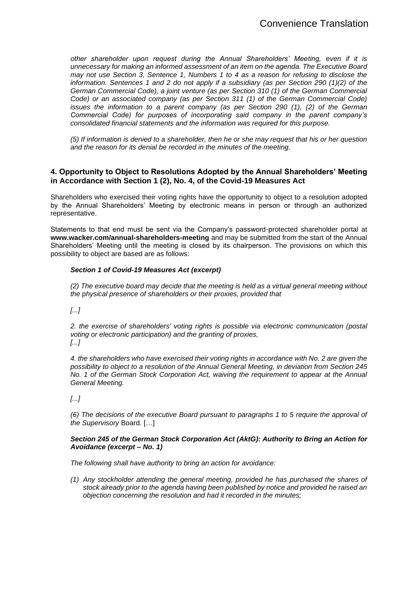*other shareholder upon request during the Annual Shareholders' Meeting, even if it is unnecessary for making an informed assessment of an item on the agenda. The Executive Board may not use Section 3, Sentence 1, Numbers 1 to 4 as a reason for refusing to disclose the information. Sentences 1 and 2 do not apply if a subsidiary (as per Section 290 (1)(2) of the German Commercial Code), a joint venture (as per Section 310 (1) of the German Commercial Code) or an associated company (as per Section 311 (1) of the German Commercial Code) issues the information to a parent company (as per Section 290 (1), (2) of the German Commercial Code) for purposes of incorporating said company in the parent company's consolidated financial statements and the information was required for this purpose.*

*(5) If information is denied to a shareholder, then he or she may request that his or her question and the reason for its denial be recorded in the minutes of the meeting.*

## **4. Opportunity to Object to Resolutions Adopted by the Annual Shareholders' Meeting in Accordance with Section 1 (2), No. 4, of the Covid-19 Measures Act**

Shareholders who exercised their voting rights have the opportunity to object to a resolution adopted by the Annual Shareholders' Meeting by electronic means in person or through an authorized representative.

Statements to that end must be sent via the Company's password-protected shareholder portal at **www.wacker.com/annual-shareholders-meeting** and may be submitted from the start of the Annual Shareholders' Meeting until the meeting is closed by its chairperson. The provisions on which this possibility to object are based are as follows:

## *Section 1 of Covid-19 Measures Act (excerpt)*

*(2) The executive board may decide that the meeting is held as a virtual general meeting without the* p*hysical presence of shareholders or their proxies, provided that*

*[...]*

*2. the exercise of shareholders' voting rights is possible via electronic communication (postal voting or electronic participation) and the granting of proxies, [...]*

*4. the shareholders who have exercised their voting rights in accordance with No. 2 are given the possibility to object to a resolution of the Annual General Meeting, in deviation from Section 245 No. 1 of the German Stock Corporation Act, waiving the requirement to appear at the Annual General Meeting.*

*[...]*

*(6) The decisions of the executive Board pursuant to paragraphs 1 to 5 require the approval of the Supervisory* Board. […]

#### *Section 245 of the German Stock Corporation Act (AktG): Authority to Bring an Action for Avoidance (excerpt – No. 1)*

*The following shall have authority to bring an action for avoidance:*

*(1) Any stockholder attending the general meeting, provided he has purchased the shares of stock already prior to the agenda having been published by notice and provided he raised an objection concerning the resolution and had it recorded in the minutes;*